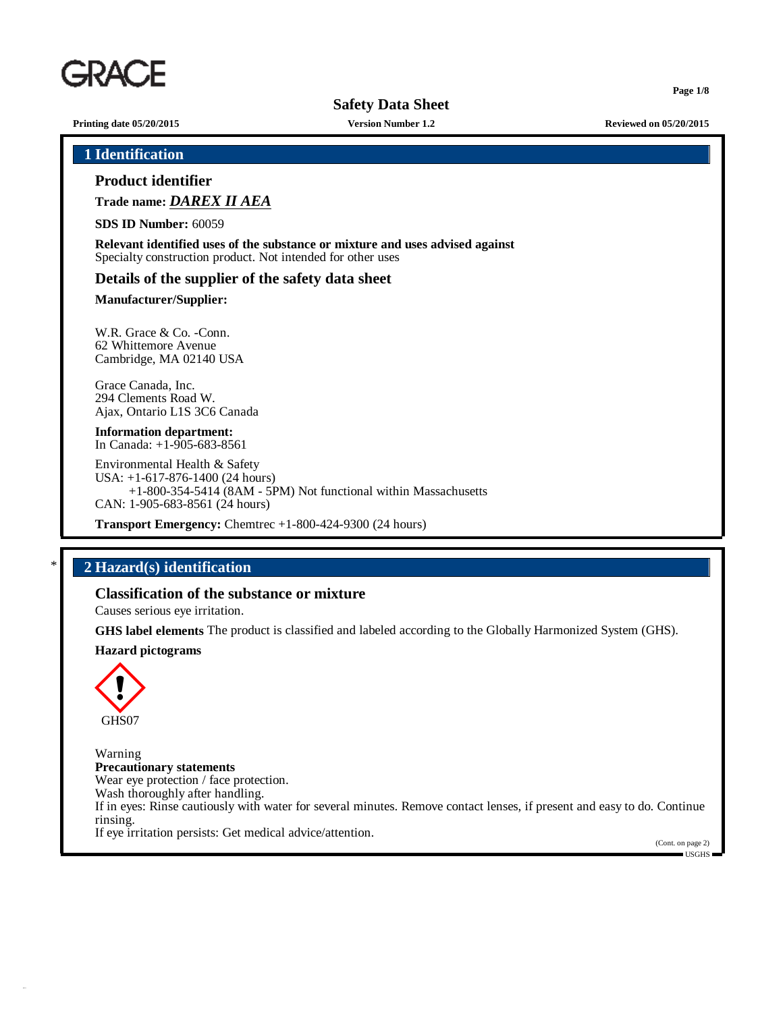

**Printing date 05/20/2015 Version Number 1.2 Reviewed on 05/20/2015**

**Page 1/8**

**1 Identification**

## **Product identifier**

**Trade name:** *DAREX II AEA*

**SDS ID Number:** 60059

**Relevant identified uses of the substance or mixture and uses advised against** Specialty construction product. Not intended for other uses

## **Details of the supplier of the safety data sheet**

**Manufacturer/Supplier:**

W.R. Grace & Co. -Conn. 62 Whittemore Avenue Cambridge, MA 02140 USA

Grace Canada, Inc. 294 Clements Road W. Ajax, Ontario L1S 3C6 Canada

**Information department:** In Canada: +1-905-683-8561

Environmental Health & Safety USA: +1-617-876-1400 (24 hours) +1-800-354-5414 (8AM - 5PM) Not functional within Massachusetts CAN: 1-905-683-8561 (24 hours)

**Transport Emergency:** Chemtrec +1-800-424-9300 (24 hours)

## \* **2 Hazard(s) identification**

## **Classification of the substance or mixture**

Causes serious eye irritation.

**GHS label elements** The product is classified and labeled according to the Globally Harmonized System (GHS).

### **Hazard pictograms**



Warning **Precautionary statements** Wear eye protection / face protection. Wash thoroughly after handling. If in eyes: Rinse cautiously with water for several minutes. Remove contact lenses, if present and easy to do. Continue rinsing. If eye irritation persists: Get medical advice/attention.

(Cont. on page 2) USGHS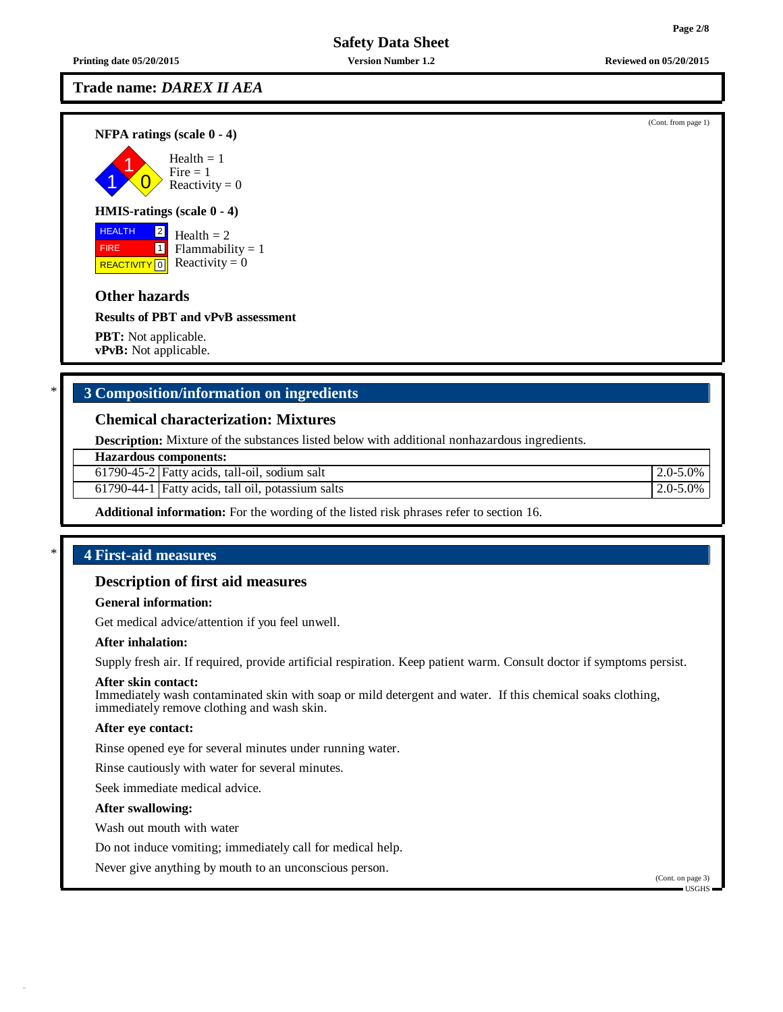## **Trade name:** *DAREX II AEA*

**NFPA ratings (scale 0 - 4)**

1 1  $\overline{0}$ Health  $= 1$  $Fire = 1$ Reactivity  $= 0$ 

## **HMIS-ratings (scale 0 - 4)**

**HEALTH**  FIRE REACTIVITY  $\boxed{0}$  Reactivity = 0 2 1 Health  $= 2$  $Flammability = 1$ 

# **Other hazards**

**Results of PBT and vPvB assessment**

**PBT:** Not applicable. **vPvB:** Not applicable.

# \* **3 Composition/information on ingredients**

## **Chemical characterization: Mixtures**

**Description:** Mixture of the substances listed below with additional nonhazardous ingredients.

**Hazardous components:**

 $61790-45-2$  Fatty acids, tall-oil, sodium salt  $\qquad \qquad$  2.0-5.0%

61790-44-1 Fatty acids, tall oil, potassium salts 2.0-5.0%

**Additional information:** For the wording of the listed risk phrases refer to section 16.

## \* **4 First-aid measures**

### **Description of first aid measures**

#### **General information:**

Get medical advice/attention if you feel unwell.

#### **After inhalation:**

Supply fresh air. If required, provide artificial respiration. Keep patient warm. Consult doctor if symptoms persist.

#### **After skin contact:**

Immediately wash contaminated skin with soap or mild detergent and water. If this chemical soaks clothing, immediately remove clothing and wash skin.

#### **After eye contact:**

Rinse opened eye for several minutes under running water.

Rinse cautiously with water for several minutes.

Seek immediate medical advice.

#### **After swallowing:**

Wash out mouth with water

Do not induce vomiting; immediately call for medical help.

Never give anything by mouth to an unconscious person.

(Cont. on page 3) USGHS

(Cont. from page 1)

**Page 2/8**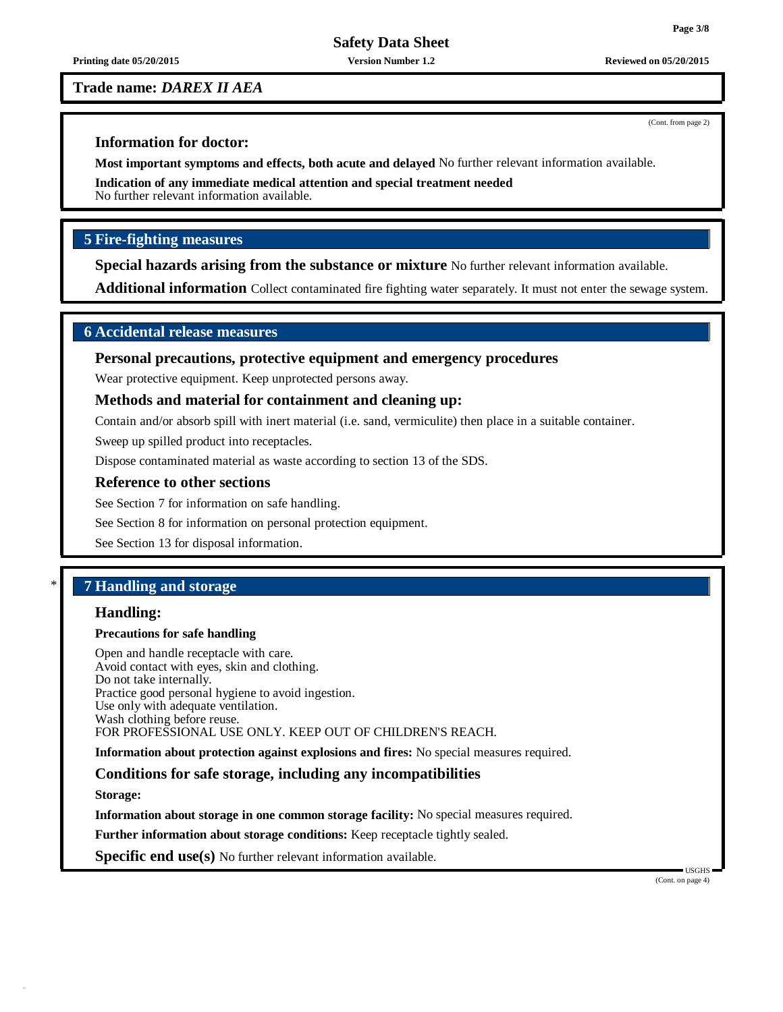## **Trade name:** *DAREX II AEA*

## **Information for doctor:**

**Most important symptoms and effects, both acute and delayed** No further relevant information available.

**Indication of any immediate medical attention and special treatment needed** No further relevant information available.

## **5 Fire-fighting measures**

**Special hazards arising from the substance or mixture** No further relevant information available.

**Additional information** Collect contaminated fire fighting water separately. It must not enter the sewage system.

## **6 Accidental release measures**

## **Personal precautions, protective equipment and emergency procedures**

Wear protective equipment. Keep unprotected persons away.

### **Methods and material for containment and cleaning up:**

Contain and/or absorb spill with inert material (i.e. sand, vermiculite) then place in a suitable container.

Sweep up spilled product into receptacles.

Dispose contaminated material as waste according to section 13 of the SDS.

#### **Reference to other sections**

See Section 7 for information on safe handling.

See Section 8 for information on personal protection equipment.

See Section 13 for disposal information.

## \* **7 Handling and storage**

## **Handling:**

#### **Precautions for safe handling**

Open and handle receptacle with care. Avoid contact with eyes, skin and clothing. Do not take internally. Practice good personal hygiene to avoid ingestion. Use only with adequate ventilation. Wash clothing before reuse. FOR PROFESSIONAL USE ONLY. KEEP OUT OF CHILDREN'S REACH.

**Information about protection against explosions and fires:** No special measures required.

### **Conditions for safe storage, including any incompatibilities**

**Storage:**

**Information about storage in one common storage facility:** No special measures required.

**Further information about storage conditions:** Keep receptacle tightly sealed.

**Specific end use(s)** No further relevant information available.

USGHS (Cont. on page 4)

(Cont. from page 2)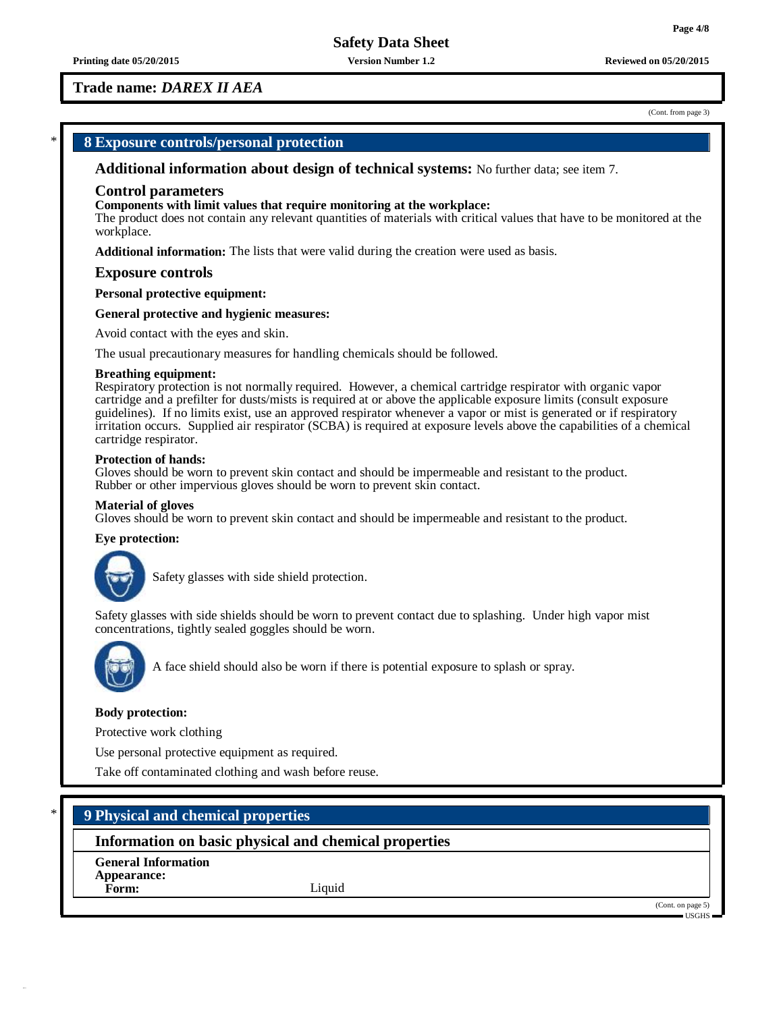**Printing date 05/20/2015 Version Number 1.2 Reviewed on 05/20/2015**

**Trade name:** *DAREX II AEA*

(Cont. from page 3)

**Page 4/8**

## \* **8 Exposure controls/personal protection**

**Additional information about design of technical systems:** No further data; see item 7.

#### **Control parameters**

#### **Components with limit values that require monitoring at the workplace:**

The product does not contain any relevant quantities of materials with critical values that have to be monitored at the workplace.

**Additional information:** The lists that were valid during the creation were used as basis.

#### **Exposure controls**

**Personal protective equipment:**

#### **General protective and hygienic measures:**

Avoid contact with the eyes and skin.

The usual precautionary measures for handling chemicals should be followed.

#### **Breathing equipment:**

Respiratory protection is not normally required. However, a chemical cartridge respirator with organic vapor cartridge and a prefilter for dusts/mists is required at or above the applicable exposure limits (consult exposure guidelines). If no limits exist, use an approved respirator whenever a vapor or mist is generated or if respiratory irritation occurs. Supplied air respirator (SCBA) is required at exposure levels above the capabilities of a chemical cartridge respirator.

#### **Protection of hands:**

Gloves should be worn to prevent skin contact and should be impermeable and resistant to the product. Rubber or other impervious gloves should be worn to prevent skin contact.

#### **Material of gloves**

Gloves should be worn to prevent skin contact and should be impermeable and resistant to the product.

#### **Eye protection:**



Safety glasses with side shield protection.

Safety glasses with side shields should be worn to prevent contact due to splashing. Under high vapor mist concentrations, tightly sealed goggles should be worn.



A face shield should also be worn if there is potential exposure to splash or spray.

#### **Body protection:**

Protective work clothing

Use personal protective equipment as required.

Take off contaminated clothing and wash before reuse.

## \* **9 Physical and chemical properties**

## **Information on basic physical and chemical properties**

**General Information Appearance:**

Form: Liquid

(Cont. on page 5)

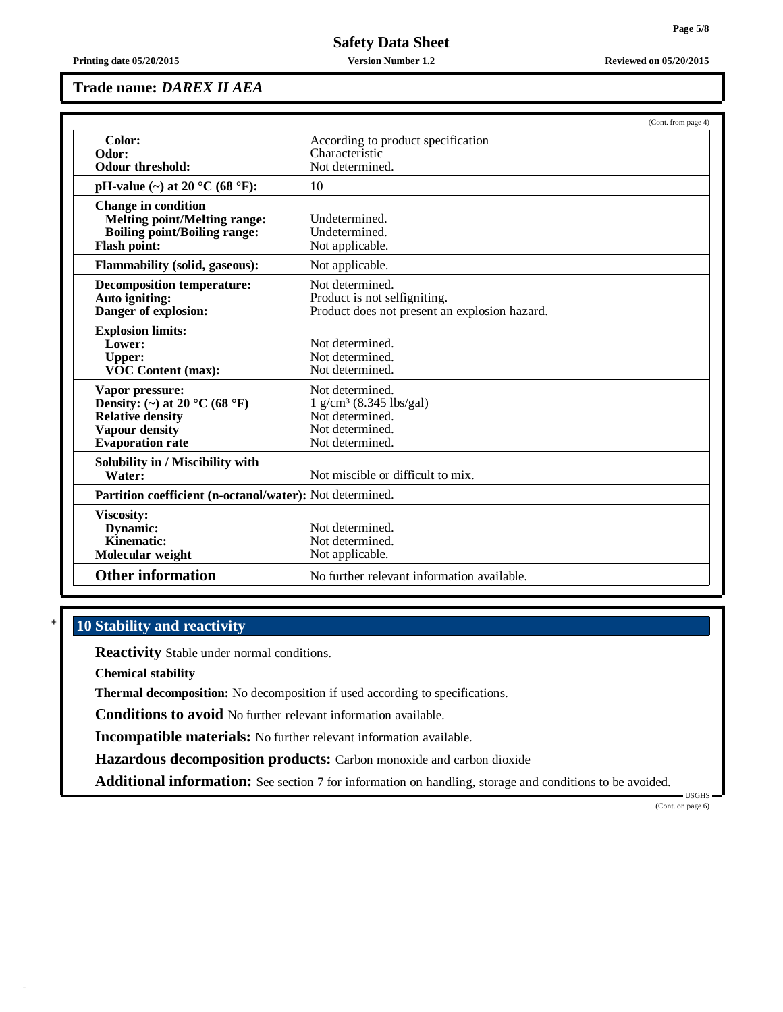**Printing date 05/20/2015 Version Number 1.2 Reviewed on 05/20/2015**

## **Trade name:** *DAREX II AEA*

|                                                                 | (Cont. from page 4)                           |  |  |
|-----------------------------------------------------------------|-----------------------------------------------|--|--|
| Color:                                                          | According to product specification            |  |  |
| Odor:                                                           | Characteristic                                |  |  |
| <b>Odour threshold:</b>                                         | Not determined.                               |  |  |
| pH-value $(\sim)$ at 20 °C (68 °F):                             | 10                                            |  |  |
| <b>Change in condition</b>                                      |                                               |  |  |
| <b>Melting point/Melting range:</b>                             | Undetermined.                                 |  |  |
| <b>Boiling point/Boiling range:</b>                             | Undetermined.                                 |  |  |
| <b>Flash point:</b>                                             | Not applicable.                               |  |  |
| <b>Flammability (solid, gaseous):</b>                           | Not applicable.                               |  |  |
| Decomposition temperature:                                      | Not determined.                               |  |  |
| Auto igniting:                                                  | Product is not selfigniting.                  |  |  |
| Danger of explosion:                                            | Product does not present an explosion hazard. |  |  |
| <b>Explosion limits:</b>                                        |                                               |  |  |
| Lower:                                                          | Not determined.                               |  |  |
| Upper:                                                          | Not determined.                               |  |  |
| VOC Content (max):                                              | Not determined.                               |  |  |
| Vapor pressure:                                                 | Not determined.                               |  |  |
| Density: (~) at 20 $^{\circ}$ C (68 $^{\circ}$ F)               | $1$ g/cm <sup>3</sup> (8.345 lbs/gal)         |  |  |
| <b>Relative density</b>                                         | Not determined.                               |  |  |
| <b>Vapour density</b>                                           | Not determined.                               |  |  |
| <b>Evaporation rate</b>                                         | Not determined.                               |  |  |
| Solubility in / Miscibility with                                |                                               |  |  |
| Water:                                                          | Not miscible or difficult to mix.             |  |  |
| <b>Partition coefficient (n-octanol/water):</b> Not determined. |                                               |  |  |
| <b>Viscosity:</b>                                               |                                               |  |  |
| Dynamic:                                                        | Not determined.                               |  |  |
| Kinematic:                                                      | Not determined.                               |  |  |
| Molecular weight                                                | Not applicable.                               |  |  |
| <b>Other information</b>                                        | No further relevant information available.    |  |  |

# \* **10 Stability and reactivity**

**Reactivity** Stable under normal conditions.

**Chemical stability**

**Thermal decomposition:** No decomposition if used according to specifications.

**Conditions to avoid** No further relevant information available.

**Incompatible materials:** No further relevant information available.

**Hazardous decomposition products:** Carbon monoxide and carbon dioxide

**Additional information:** See section 7 for information on handling, storage and conditions to be avoided.

USGHS (Cont. on page 6)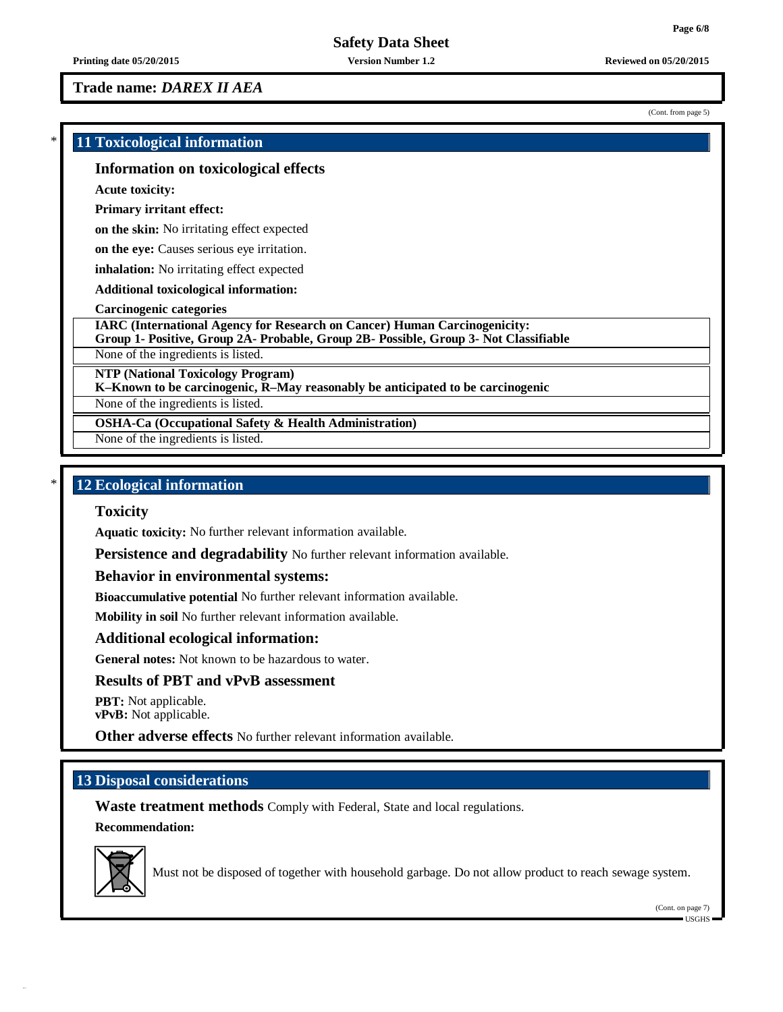**Trade name:** *DAREX II AEA*

(Cont. from page 5)

**Page 6/8**

## \* **11 Toxicological information**

## **Information on toxicological effects**

**Acute toxicity:**

**Primary irritant effect:**

**on the skin:** No irritating effect expected

**on the eye:** Causes serious eye irritation.

**inhalation:** No irritating effect expected

**Additional toxicological information:**

**Carcinogenic categories**

**IARC (International Agency for Research on Cancer) Human Carcinogenicity:**

**Group 1- Positive, Group 2A- Probable, Group 2B- Possible, Group 3- Not Classifiable**

None of the ingredients is listed.

**NTP (National Toxicology Program)**

**K–Known to be carcinogenic, R–May reasonably be anticipated to be carcinogenic**

None of the ingredients is listed.

**OSHA-Ca (Occupational Safety & Health Administration)**

None of the ingredients is listed.

## \* **12 Ecological information**

## **Toxicity**

**Aquatic toxicity:** No further relevant information available.

**Persistence and degradability** No further relevant information available.

**Behavior in environmental systems:**

**Bioaccumulative potential** No further relevant information available.

**Mobility in soil** No further relevant information available.

### **Additional ecological information:**

**General notes:** Not known to be hazardous to water.

## **Results of PBT and vPvB assessment**

**PBT:** Not applicable. **vPvB:** Not applicable.

**Other adverse effects** No further relevant information available.

## **13 Disposal considerations**

**Waste treatment methods** Comply with Federal, State and local regulations.

**Recommendation:**



Must not be disposed of together with household garbage. Do not allow product to reach sewage system.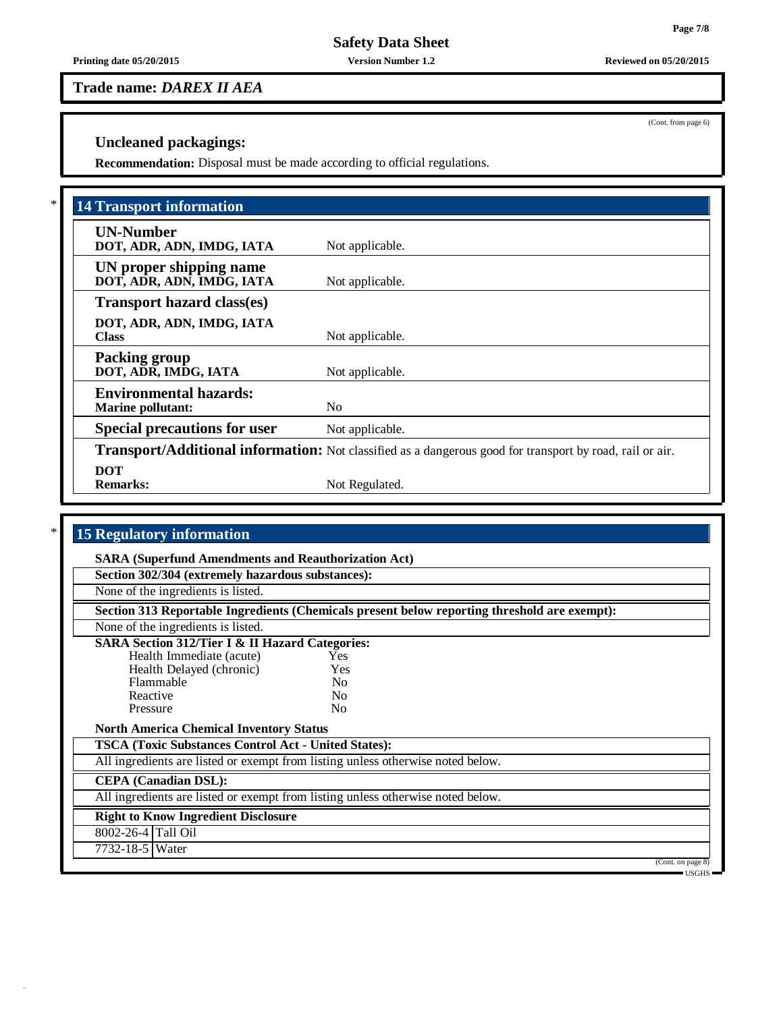**Printing date 05/20/2015 Version Number 1.2 Reviewed on 05/20/2015**

**Trade name:** *DAREX II AEA*

# **Uncleaned packagings:**

**Recommendation:** Disposal must be made according to official regulations.

| <b>14 Transport information</b>                           |                                                                                                                 |  |
|-----------------------------------------------------------|-----------------------------------------------------------------------------------------------------------------|--|
| <b>UN-Number</b><br>DOT, ADR, ADN, IMDG, IATA             | Not applicable.                                                                                                 |  |
| UN proper shipping name<br>DOT, ADR, ADN, IMDG, IATA      | Not applicable.                                                                                                 |  |
| <b>Transport hazard class(es)</b>                         |                                                                                                                 |  |
| DOT, ADR, ADN, IMDG, IATA<br><b>Class</b>                 | Not applicable.                                                                                                 |  |
| <b>Packing group</b><br>DOT, ADR, IMDG, IATA              | Not applicable.                                                                                                 |  |
| <b>Environmental hazards:</b><br><b>Marine pollutant:</b> | N <sub>0</sub>                                                                                                  |  |
| <b>Special precautions for user</b>                       | Not applicable.                                                                                                 |  |
|                                                           | <b>Transport/Additional information:</b> Not classified as a dangerous good for transport by road, rail or air. |  |
| <b>DOT</b><br><b>Remarks:</b>                             | Not Regulated.                                                                                                  |  |

# \* **15 Regulatory information**

| Section 302/304 (extremely hazardous substances):                                            |                |                   |  |
|----------------------------------------------------------------------------------------------|----------------|-------------------|--|
| None of the ingredients is listed.                                                           |                |                   |  |
| Section 313 Reportable Ingredients (Chemicals present below reporting threshold are exempt): |                |                   |  |
| None of the ingredients is listed.                                                           |                |                   |  |
| <b>SARA Section 312/Tier I &amp; II Hazard Categories:</b>                                   |                |                   |  |
| Health Immediate (acute)                                                                     | Yes            |                   |  |
| Health Delayed (chronic)                                                                     | Yes            |                   |  |
| Flammable                                                                                    | N <sub>0</sub> |                   |  |
| Reactive                                                                                     | N <sub>0</sub> |                   |  |
| Pressure                                                                                     | N <sub>0</sub> |                   |  |
| <b>North America Chemical Inventory Status</b>                                               |                |                   |  |
| <b>TSCA (Toxic Substances Control Act - United States):</b>                                  |                |                   |  |
| All ingredients are listed or exempt from listing unless otherwise noted below.              |                |                   |  |
| <b>CEPA</b> (Canadian DSL):                                                                  |                |                   |  |
| All ingredients are listed or exempt from listing unless otherwise noted below.              |                |                   |  |
| <b>Right to Know Ingredient Disclosure</b>                                                   |                |                   |  |
| 8002-26-4 Tall Oil                                                                           |                |                   |  |
| 7732-18-5 Water                                                                              |                |                   |  |
|                                                                                              |                | (Cont. on page 8) |  |

(Cont. from page 6)